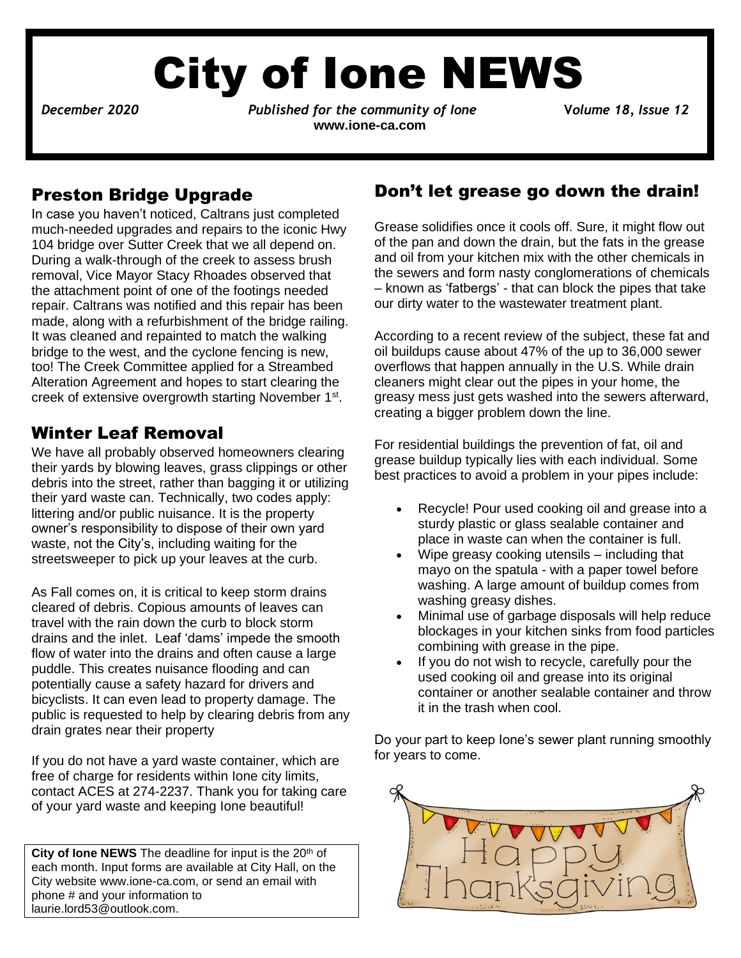# City of Ione NEWS

December 2020

*Published for the community of Ione* **2020 2020** *Volume 18, Issue* 12 **[www.ione-ca.com](http://www.ione-ca.com/)**

### Preston Bridge Upgrade

In case you haven't noticed, Caltrans just completed much-needed upgrades and repairs to the iconic Hwy 104 bridge over Sutter Creek that we all depend on. During a walk-through of the creek to assess brush removal, Vice Mayor Stacy Rhoades observed that the attachment point of one of the footings needed repair. Caltrans was notified and this repair has been made, along with a refurbishment of the bridge railing. It was cleaned and repainted to match the walking bridge to the west, and the cyclone fencing is new, too! The Creek Committee applied for a Streambed Alteration Agreement and hopes to start clearing the creek of extensive overgrowth starting November 1<sup>st</sup>.

### Winter Leaf Removal

✓ littering and/or public nuisance. It is the property We have all probably observed homeowners clearing their yards by blowing leaves, grass clippings or other debris into the street, rather than bagging it or utilizing their yard waste can. Technically, two codes apply: owner's responsibility to dispose of their own yard waste, not the City's, including waiting for the streetsweeper to pick up your leaves at the curb.

As Fall comes on, it is critical to keep storm drains cleared of debris. Copious amounts of leaves can travel with the rain down the curb to block storm drains and the inlet. Leaf 'dams' impede the smooth flow of water into the drains and often cause a large puddle. This creates nuisance flooding and can potentially cause a safety hazard for drivers and bicyclists. It can even lead to property damage. The public is requested to help by clearing debris from any drain grates near their property

If you do not have a yard waste container, which are free of charge for residents within Ione city limits, contact ACES at 274-2237. Thank you for taking care of your yard waste and keeping Ione beautiful!

City of lone NEWS The deadline for input is the 20<sup>th</sup> of each month. Input forms are available at City Hall, on the City website www.ione-ca.com, or send an email with phone # and your information to [laurie.lord53@outlook.com.](mailto:laurie.lord53@outlook.com)

### Don't let grease go down the drain!

Grease solidifies once it cools off. Sure, it might flow out of the pan and down the drain, but the fats in the grease and oil from your kitchen mix with the other chemicals in the sewers and form nasty conglomerations of chemicals – known as 'fatbergs' - that can block the pipes that take our dirty water to the wastewater treatment plant.

According to a recent review of the subject, these fat and oil buildups cause about 47% of the up to 36,000 sewer overflows that happen annually in the U.S. While drain cleaners might clear out the pipes in your home, the greasy mess just gets washed into the sewers afterward, creating a bigger problem down the line.

For residential buildings the prevention of fat, oil and grease buildup typically lies with each individual. Some best practices to avoid a problem in your pipes include:

- Recycle! Pour used cooking oil and grease into a sturdy plastic or glass sealable container and place in waste can when the container is full.
- Wipe greasy cooking utensils including that mayo on the spatula - with a paper towel before washing. A large amount of buildup comes from washing greasy dishes.
- Minimal use of garbage disposals will help reduce blockages in your kitchen sinks from food particles combining with grease in the pipe.
- If you do not wish to recycle, carefully pour the used cooking oil and grease into its original container or another sealable container and throw it in the trash when cool.

Do your part to keep Ione's sewer plant running smoothly for years to come.